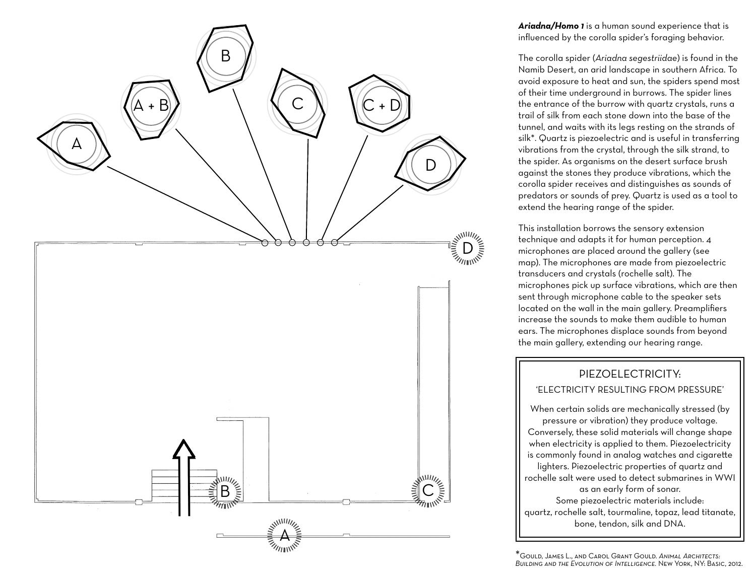

*Ariadna/Homo 1* is a human sound experience that is influenced by the corolla spider's foraging behavior.

The corolla spider (*Ariadna segestriidae*) is found in the Namib Desert, an arid landscape in southern Africa. To avoid exposure to heat and sun, the spiders spend most of their time underground in burrows. The spider lines the entrance of the burrow with quartz crystals, runs a trail of silk from each stone down into the base of the tunnel, and waits with its legs resting on the strands of silk\*. Quartz is piezoelectric and is useful in transferring vibrations from the crystal, through the silk strand, to the spider. As organisms on the desert surface brush against the stones they produce vibrations, which the corolla spider receives and distinguishes as sounds of predators or sounds of prey. Quartz is used as a tool to extend the hearing range of the spider.

This installation borrows the sensory extension technique and adapts it for human perception. 4 microphones are placed around the gallery (see map). The microphones are made from piezoelectric transducers and crystals (rochelle salt). The microphones pick up surface vibrations, which are then sent through microphone cable to the speaker sets located on the wall in the main gallery. Preamplifiers increase the sounds to make them audible to human ears. The microphones displace sounds from beyond

# 'ELECTRICITY RESULTING FROM PRESSURE'

the main gallery, extending our hearing range.<br> **PIEZOELECTRICITY:**<br>
"ELECTRICITY RESULTING FROM PRESSURE<br>
When certain solids are mechanically stressed (I<br>
pressure or vibration) they produce voltage.<br>
Conversely, these s **BUEZOELECTRICITY:**<br> **Burnarist CECTRICITY RESULTING FROM PRESSURE'**<br>
When certain solids are mechanically stressed (by<br>
pressure or vibration) they produce voltage.<br>
Conversely, these solid materials will change shape<br>
wh When certain solids are mechanically stressed (by pressure or vibration) they produce voltage. Conversely, these solid materials will change shape when electricity is applied to them. Piezoelectricity is commonly found in analog watches and cigarette lighters. Piezoelectric properties of quartz and rochelle salt were used to detect submarines in WW I as an early form of sonar. Some piezoelectric materials include: quartz, rochelle salt, tourmaline, topaz, lead titanate, bone, tendon, silk and DNA.